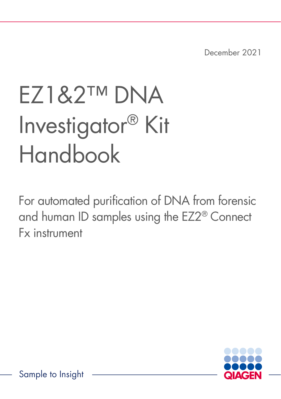December 2021

# EZ1&2™ DNA Investigator® Kit Handbook

For automated purification of DNA from forensic and human ID samples using the EZ2® Connect Fx instrument

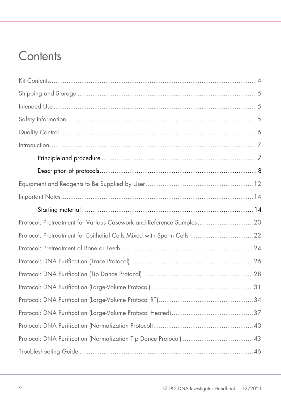### **Contents**

| Protocol: Pretreatment for Various Casework and Reference Samples20    |  |
|------------------------------------------------------------------------|--|
| Protocol: Pretreatment for Epithelial Cells Mixed with Sperm Cells  22 |  |
|                                                                        |  |
|                                                                        |  |
|                                                                        |  |
|                                                                        |  |
|                                                                        |  |
|                                                                        |  |
|                                                                        |  |
|                                                                        |  |
|                                                                        |  |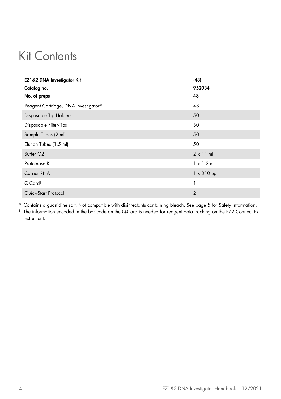### <span id="page-3-0"></span>Kit Contents

| EZ1&2 DNA Investigator Kit           | (48)              |
|--------------------------------------|-------------------|
| Catalog no.                          | 952034            |
| No. of preps                         | 48                |
| Reagent Cartridge, DNA Investigator* | 48                |
| Disposable Tip Holders               | 50                |
| Disposable Filter-Tips               | 50                |
| Sample Tubes (2 ml)                  | 50                |
| Elution Tubes (1.5 ml)               | 50                |
| Buffer G <sub>2</sub>                | $2 \times 11$ ml  |
| Proteinase K                         | $1 \times 1.2$ ml |
| Carrier RNA                          | $1 \times 310$ µg |
| Q-Card <sup>#</sup>                  |                   |
| Quick-Start Protocol                 | $\overline{2}$    |

Contains a guanidine salt. Not compatible with disinfectants containing bleach. See page [5](#page-4-2) for Safety Information.

‡ The information encoded in the bar code on the Q-Card is needed for reagent data tracking on the EZ2 Connect Fx instrument.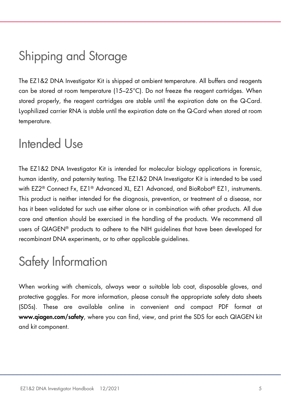### <span id="page-4-0"></span>Shipping and Storage

The EZ1&2 DNA Investigator Kit is shipped at ambient temperature. All buffers and reagents can be stored at room temperature (15–25°C). Do not freeze the reagent cartridges. When stored properly, the reagent cartridges are stable until the expiration date on the Q-Card. Lyophilized carrier RNA is stable until the expiration date on the Q-Card when stored at room temperature.

### <span id="page-4-1"></span>Intended Use

The EZ1&2 DNA Investigator Kit is intended for molecular biology applications in forensic, human identity, and paternity testing. The EZ1&2 DNA Investigator Kit is intended to be used with EZ2® Connect Fx, EZ1® Advanced XL, EZ1 Advanced, and BioRobot® EZ1, instruments. This product is neither intended for the diagnosis, prevention, or treatment of a disease, nor has it been validated for such use either alone or in combination with other products. All due care and attention should be exercised in the handling of the products. We recommend all users of QIAGEN® products to adhere to the NIH guidelines that have been developed for recombinant DNA experiments, or to other applicable guidelines.

### <span id="page-4-2"></span>Safety Information

When working with chemicals, always wear a suitable lab coat, disposable gloves, and protective goggles. For more information, please consult the appropriate safety data sheets (SDSs). These are available online in convenient and compact PDF format at www.qiagen.com/safety, where you can find, view, and print the SDS for each QIAGEN kit and kit component.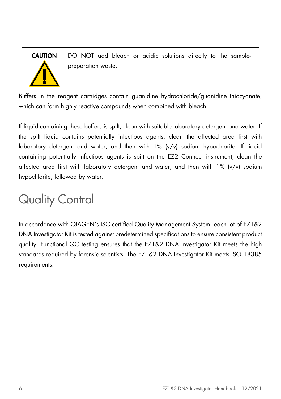

**CAUTION**  $\Box$  DO NOT add bleach or acidic solutions directly to the samplepreparation waste.

Buffers in the reagent cartridges contain guanidine hydrochloride/guanidine thiocyanate, which can form highly reactive compounds when combined with bleach.

If liquid containing these buffers is spilt, clean with suitable laboratory detergent and water. If the spilt liquid contains potentially infectious agents, clean the affected area first with laboratory detergent and water, and then with  $1\%$  (v/v) sodium hypochlorite. If liquid containing potentially infectious agents is spilt on the EZ2 Connect instrument, clean the affected area first with laboratory detergent and water, and then with  $1\%$  (v/v) sodium hypochlorite, followed by water.

# <span id="page-5-0"></span>Quality Control

In accordance with QIAGEN's ISO-certified Quality Management System, each lot of EZ1&2 DNA Investigator Kit is tested against predetermined specifications to ensure consistent product quality. Functional QC testing ensures that the EZ1&2 DNA Investigator Kit meets the high standards required by forensic scientists. The EZ1&2 DNA Investigator Kit meets ISO 18385 requirements.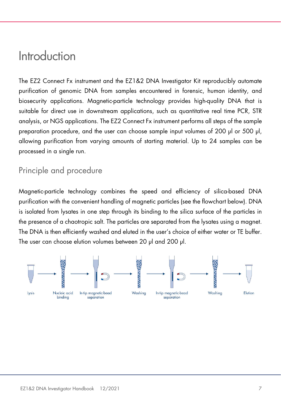### <span id="page-6-0"></span>Introduction

The EZ2 Connect Fx instrument and the EZ1&2 DNA Investigator Kit reproducibly automate purification of genomic DNA from samples encountered in forensic, human identity, and biosecurity applications. Magnetic-particle technology provides high-quality DNA that is suitable for direct use in downstream applications, such as quantitative real time PCR, STR analysis, or NGS applications. The EZ2 Connect Fx instrument performs all steps of the sample preparation procedure, and the user can choose sample input volumes of 200 µl or 500 µl. allowing purification from varying amounts of starting material. Up to 24 samples can be processed in a single run.

### <span id="page-6-1"></span>Principle and procedure

Magnetic-particle technology combines the speed and efficiency of silica-based DNA purification with the convenient handling of magnetic particles (see the flowchart below). DNA is isolated from lysates in one step through its binding to the silica surface of the particles in the presence of a chaotropic salt. The particles are separated from the lysates using a magnet. The DNA is then efficiently washed and eluted in the user's choice of either water or TE buffer. The user can choose elution volumes between 20 µl and 200 µl.

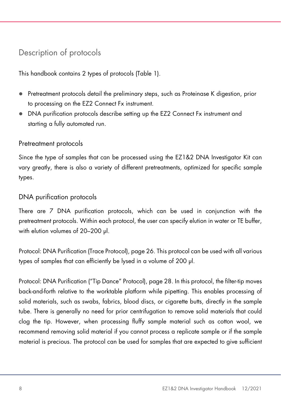### <span id="page-7-0"></span>Description of protocols

This handbook contains 2 types of protocols [\(Table 1\)](#page-9-0).

- Pretreatment protocols detail the preliminary steps, such as Proteinase K digestion, prior to processing on the EZ2 Connect Fx instrument.
- DNA purification protocols describe setting up the EZ2 Connect Fx instrument and starting a fully automated run.

#### Pretreatment protocols

Since the type of samples that can be processed using the EZ1&2 DNA Investigator Kit can vary greatly, there is also a variety of different pretreatments, optimized for specific sample types.

#### DNA purification protocols

There are 7 DNA purification protocols, which can be used in conjunction with the pretreatment protocols. Within each protocol, the user can specify elution in water or TE buffer, with elution volumes of 20-200 ul.

Protocol: DNA Purification (Trace Protocol), pag[e 26.](#page-25-0) This protocol can be used with all various types of samples that can efficiently be lysed in a volume of 200 µl.

Protocol: DNA Purification ("Tip Dance" Protocol), pag[e 28.](#page-27-0) In this protocol, the filter-tip moves back-and-forth relative to the worktable platform while pipetting. This enables processing of solid materials, such as swabs, fabrics, blood discs, or cigarette butts, directly in the sample tube. There is generally no need for prior centrifugation to remove solid materials that could clog the tip. However, when processing fluffy sample material such as cotton wool, we recommend removing solid material if you cannot process a replicate sample or if the sample material is precious. The protocol can be used for samples that are expected to give sufficient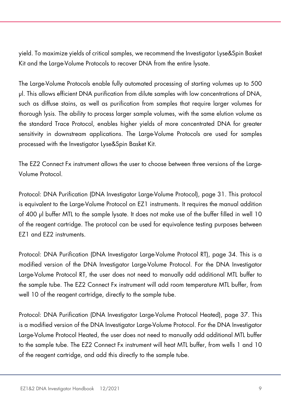yield. To maximize yields of critical samples, we recommend the Investigator Lyse&Spin Basket Kit and the Large-Volume Protocols to recover DNA from the entire lysate.

The Large-Volume Protocols enable fully automated processing of starting volumes up to 500 µl. This allows efficient DNA purification from dilute samples with low concentrations of DNA, such as diffuse stains, as well as purification from samples that require larger volumes for thorough lysis. The ability to process larger sample volumes, with the same elution volume as the standard Trace Protocol, enables higher yields of more concentrated DNA for greater sensitivity in downstream applications. The Large-Volume Protocols are used for samples processed with the Investigator Lyse&Spin Basket Kit.

The EZ2 Connect Fx instrument allows the user to choose between three versions of the Large-Volume Protocol.

Protocol: DNA Purification (DNA Investigator Large-Volume Protocol), page [31.](#page-30-0) This protocol is equivalent to the Large-Volume Protocol on EZ1 instruments. It requires the manual addition of 400 µl buffer MTL to the sample lysate. It does not make use of the buffer filled in well 10 of the reagent cartridge. The protocol can be used for equivalence testing purposes between EZ1 and EZ2 instruments.

Protocol: DNA Purification (DNA Investigator Large-Volume Protocol RT), page [34.](#page-33-0) This is a modified version of the DNA Investigator Large-Volume Protocol. For the DNA Investigator Large-Volume Protocol RT, the user does not need to manually add additional MTL buffer to the sample tube. The EZ2 Connect Fx instrument will add room temperature MTL buffer, from well 10 of the reagent cartridge, directly to the sample tube.

Protocol: DNA Purification (DNA Investigator Large-Volume Protocol Heated), page [37.](#page-36-0) This is a modified version of the DNA Investigator Large-Volume Protocol. For the DNA Investigator Large-Volume Protocol Heated, the user does not need to manually add additional MTL buffer to the sample tube. The EZ2 Connect Fx instrument will heat MTL buffer, from wells 1 and 10 of the reagent cartridge, and add this directly to the sample tube.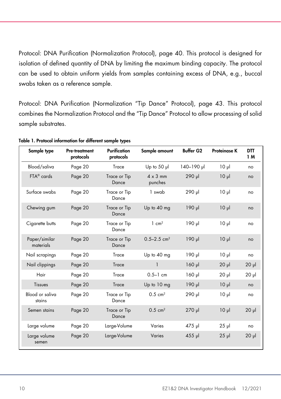Protocol: DNA Purification (Normalization Protocol), page [40.](#page-39-0) This protocol is designed for isolation of defined quantity of DNA by limiting the maximum binding capacity. The protocol can be used to obtain uniform yields from samples containing excess of DNA, e.g., buccal swabs taken as a reference sample.

Protocol: DNA Purification (Normalization "Tip Dance" Protocol), page [43.](#page-42-0) This protocol combines the Normalization Protocol and the "Tip Dance" Protocol to allow processing of solid sample substrates.

| Sample type                | Pre-treatment<br>protocols | Purification<br>protocols | Sample amount               | <b>Buffer G2</b>        | <b>Proteinase K</b> | <b>DTT</b><br>1 M |
|----------------------------|----------------------------|---------------------------|-----------------------------|-------------------------|---------------------|-------------------|
| Blood/saliva               | Page 20                    | Trace                     | Up to $50$ $\mu$            | l <sub>40</sub> -190 µl | 10 <sub>µ</sub>     | no                |
| FTA <sup>®</sup> cards     | Page 20                    | Trace or Tip<br>Dance     | $4 \times 3$ mm<br>punches  | 290 µl                  | 10 <sub>µ</sub>     | no                |
| Surface swabs              | Page 20                    | Trace or Tip<br>Dance     | 1 swab                      | 290 µl                  | 10 <sub>µ</sub>     | no                |
| Chewing gum                | Page 20                    | Trace or Tip<br>Dance     | Up to 40 mg                 | 190 µl                  | 10 <sub>µ</sub>     | no                |
| Cigarette butts            | Page 20                    | Trace or Tip<br>Dance     | $1 \text{ cm}^2$            | 190 µl                  | 10 <sub>µ</sub>     | no                |
| Paper/similar<br>materials | Page 20                    | Trace or Tip<br>Dance     | $0.5 - 2.5$ cm <sup>2</sup> | 190 µl                  | 10 <sub>µ</sub>     | no                |
| Nail scrapings             | Page 20                    | Trace                     | Up to 40 mg                 | 190 µl                  | 10 <sub>µ</sub>     | no                |
| Nail clippings             | Page 20                    | Trace                     | $\mathbf{1}$                | $160$ pl                | $20$ $\mu$          | $20 \mu$          |
| Hair                       | Page 20                    | Trace                     | $0.5 - 1$ cm                | $160$ pl                | $20$ $\mu$          | 20 <sub>µ</sub>   |
| Tissues                    | Page 20                    | Trace                     | Up to 10 mg                 | 190 µl                  | 10 <sub>µ</sub>     | no                |
| Blood or saliva<br>stains  | Page 20                    | Trace or Tip<br>Dance     | $0.5 \, \text{cm}^2$        | 290 µl                  | $10 \mu$            | no                |
| Semen stains               | Page 20                    | Trace or Tip<br>Dance     | $0.5 \text{ cm}^2$          | 270 µl                  | 10 <sub>µ</sub>     | 20 <sub>µ</sub>   |
| Large volume               | Page 20                    | Large-Volume              | Varies                      | 475 µl                  | $25$ $\mu$          | no                |
| Large volume<br>semen      | Page 20                    | Large-Volume              | Varies                      | 455 µl                  | $25$ $\mu$          | $20 \mu$          |

<span id="page-9-0"></span>Table 1. Protocol information for different sample types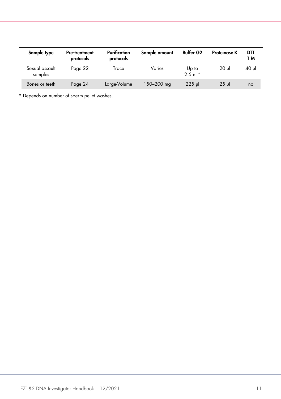| Sample type               | <b>Pre-treatment</b><br>protocols | Purification<br>protocols | Sample amount | <b>Buffer G2</b>     | <b>Proteinase K</b> | DTT<br>1 M |
|---------------------------|-----------------------------------|---------------------------|---------------|----------------------|---------------------|------------|
| Sexual assault<br>samples | Page 22                           | Trace                     | Varies        | Up to<br>$2.5$ m $*$ | 20 ul               | 40 µl      |
| Bones or teeth            | Page 24                           | Large-Volume              | 150–200 mg    | $225$ ul             | $25$ ul             | no         |

\* Depends on number of sperm pellet washes.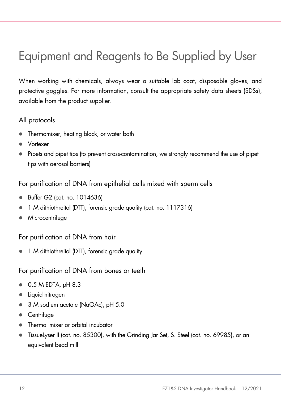### <span id="page-11-0"></span>Equipment and Reagents to Be Supplied by User

When working with chemicals, always wear a suitable lab coat, disposable gloves, and protective goggles. For more information, consult the appropriate safety data sheets (SDSs), available from the product supplier.

#### All protocols

- Thermomixer, heating block, or water bath
- Vortexer
- Pipets and pipet tips (to prevent cross-contamination, we strongly recommend the use of pipet tips with aerosol barriers)

For purification of DNA from epithelial cells mixed with sperm cells

- Buffer G2 (cat. no. 1014636)
- 1 M dithiothreitol (DTT), forensic grade quality (cat. no. 1117316)
- Microcentrifuge

For purification of DNA from hair

1 M dithiothreitol (DTT), forensic grade quality

For purification of DNA from bones or teeth

- 0.5 M EDTA, pH 8.3
- Liquid nitrogen
- 3 M sodium acetate (NaOAc), pH 5.0
- Centrifuge
- Thermal mixer or orbital incubator
- TissueLyser II (cat. no. 85300), with the Grinding Jar Set, S. Steel (cat. no. 69985), or an equivalent bead mill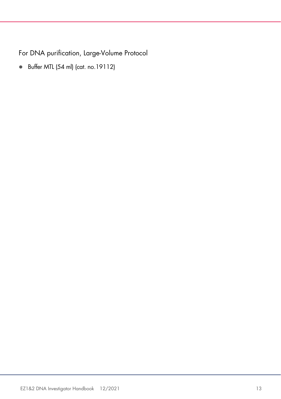For DNA purification, Large-Volume Protocol

Buffer MTL (54 ml) (cat. no.19112)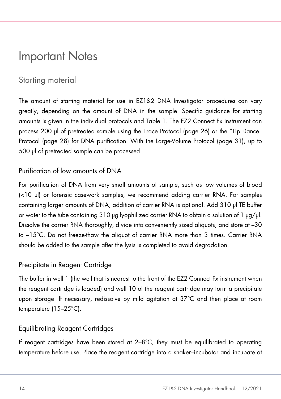### <span id="page-13-0"></span>Important Notes

### <span id="page-13-1"></span>Starting material

The amount of starting material for use in EZ1&2 DNA Investigator procedures can vary greatly, depending on the amount of DNA in the sample. Specific guidance for starting amounts is given in the individual protocols and [Table 1.](#page-9-0) The EZ2 Connect Fx instrument can process 200 µl of pretreated sample using the Trace Protocol (page [26\)](#page-25-0) or the "Tip Dance" Protocol (page [28\)](#page-27-0) for DNA purification. With the Large-Volume Protocol (page [31\)](#page-30-0), up to 500 µl of pretreated sample can be processed.

#### Purification of low amounts of DNA

For purification of DNA from very small amounts of sample, such as low volumes of blood (<10 µl) or forensic casework samples, we recommend adding carrier RNA. For samples containing larger amounts of DNA, addition of carrier RNA is optional. Add 310 µl TE buffer or water to the tube containing 310 µg lyophilized carrier RNA to obtain a solution of 1  $\mu q/\mu l$ . Dissolve the carrier RNA thoroughly, divide into conveniently sized aliquots, and store at –30 to –15°C. Do not freeze-thaw the aliquot of carrier RNA more than 3 times. Carrier RNA should be added to the sample after the lysis is completed to avoid degradation.

#### Precipitate in Reagent Cartridge

The buffer in well 1 (the well that is nearest to the front of the EZ2 Connect Fx instrument when the reagent cartridge is loaded) and well 10 of the reagent cartridge may form a precipitate upon storage. If necessary, redissolve by mild agitation at 37°C and then place at room temperature (15–25°C).

#### <span id="page-13-2"></span>Equilibrating Reagent Cartridges

If reagent cartridges have been stored at  $2-8^{\circ}$ C, they must be equilibrated to operating temperature before use. Place the reagent cartridge into a shaker–incubator and incubate at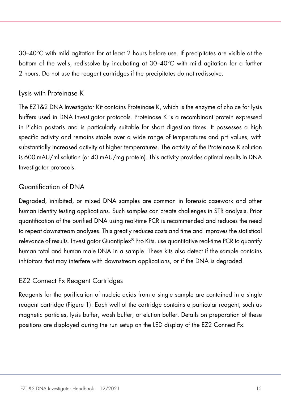30–40°C with mild agitation for at least 2 hours before use. If precipitates are visible at the bottom of the wells, redissolve by incubating at 30–40°C with mild agitation for a further 2 hours. Do not use the reagent cartridges if the precipitates do not redissolve.

#### Lysis with Proteinase K

The EZ1&2 DNA Investigator Kit contains Proteinase K, which is the enzyme of choice for lysis buffers used in DNA Investigator protocols. Proteinase K is a recombinant protein expressed in Pichia pastoris and is particularly suitable for short digestion times. It possesses a high specific activity and remains stable over a wide range of temperatures and pH values, with substantially increased activity at higher temperatures. The activity of the Proteinase K solution is 600 mAU/ml solution (or 40 mAU/mg protein). This activity provides optimal results in DNA Investigator protocols.

#### Quantification of DNA

Degraded, inhibited, or mixed DNA samples are common in forensic casework and other human identity testing applications. Such samples can create challenges in STR analysis. Prior quantification of the purified DNA using real-time PCR is recommended and reduces the need to repeat downstream analyses. This greatly reduces costs and time and improves the statistical relevance of results. Investigator Quantiplex® Pro Kits, use quantitative real-time PCR to quantify human total and human male DNA in a sample. These kits also detect if the sample contains inhibitors that may interfere with downstream applications, or if the DNA is degraded.

#### EZ2 Connect Fx Reagent Cartridges

Reagents for the purification of nucleic acids from a single sample are contained in a single reagent cartridge [\(Figure 1\)](#page-15-0). Each well of the cartridge contains a particular reagent, such as magnetic particles, lysis buffer, wash buffer, or elution buffer. Details on preparation of these positions are displayed during the run setup on the LED display of the EZ2 Connect Fx.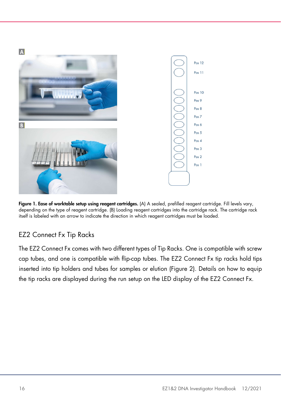

Figure 1. Ease of worktable setup using reagent cartridges. (A) A sealed, prefilled reagent cartridge. Fill levels vary, depending on the type of reagent cartridge. (B) Loading reagent cartridges into the cartridge rack. The cartridge rack itself is labeled with an arrow to indicate the direction in which reagent cartridges must be loaded.

#### <span id="page-15-0"></span>EZ2 Connect Fx Tip Racks

The EZ2 Connect Fx comes with two different types of Tip Racks. One is compatible with screw cap tubes, and one is compatible with flip-cap tubes. The EZ2 Connect Fx tip racks hold tips inserted into tip holders and tubes for samples or elution [\(Figure 2\)](#page-16-0). Details on how to equip the tip racks are displayed during the run setup on the LED display of the EZ2 Connect Fx.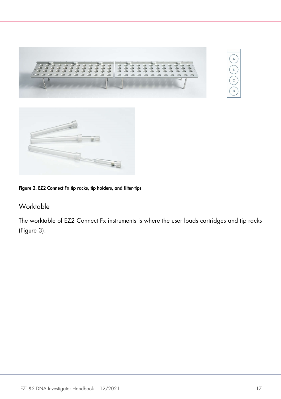



#### <span id="page-16-0"></span>Figure 2. EZ2 Connect Fx tip racks, tip holders, and filter-tips

#### Worktable

The worktable of EZ2 Connect Fx instruments is where the user loads cartridges and tip racks [\(Figure 3\)](#page-17-0).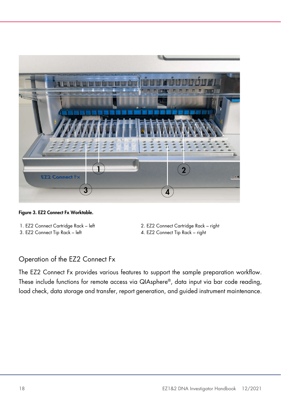

Figure 3. EZ2 Connect Fx Worktable.

- <span id="page-17-0"></span>
- 3. EZ2 Connect Tip Rack left 4. EZ2 Connect Tip Rack right
- 1. EZ2 Connect Cartridge Rack left 2. EZ2 Connect Cartridge Rack right
	-

#### Operation of the EZ2 Connect Fx

The EZ2 Connect Fx provides various features to support the sample preparation workflow. These include functions for remote access via QIAsphere®, data input via bar code reading, load check, data storage and transfer, report generation, and guided instrument maintenance.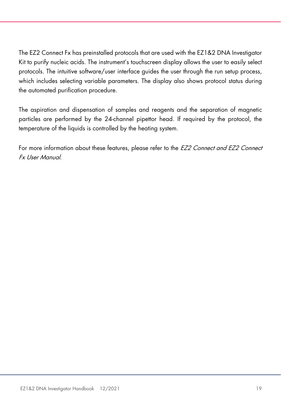The EZ2 Connect Fx has preinstalled protocols that are used with the EZ1&2 DNA Investigator Kit to purify nucleic acids. The instrument's touchscreen display allows the user to easily select protocols. The intuitive software/user interface guides the user through the run setup process, which includes selecting variable parameters. The display also shows protocol status during the automated purification procedure.

The aspiration and dispensation of samples and reagents and the separation of magnetic particles are performed by the 24-channel pipettor head. If required by the protocol, the temperature of the liquids is controlled by the heating system.

For more information about these features, please refer to the EZ2 Connect and EZ2 Connect Fx User Manual.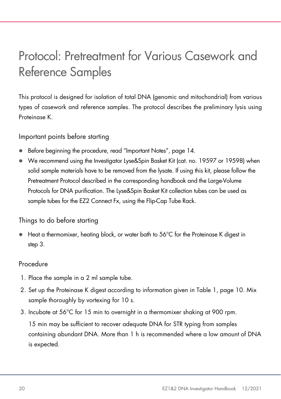### <span id="page-19-0"></span>Protocol: Pretreatment for Various Casework and Reference Samples

This protocol is designed for isolation of total DNA (genomic and mitochondrial) from various types of casework and reference samples. The protocol describes the preliminary lysis using Proteinase K.

Important points before starting

- Before beginning the procedure, read "Important Notes", page [14.](#page-13-0)
- We recommend using the Investigator Lyse&Spin Basket Kit (cat. no. 19597 or 19598) when solid sample materials have to be removed from the lysate. If using this kit, please follow the Pretreatment Protocol described in the corresponding handbook and the Large-Volume Protocols for DNA purification. The Lyse&Spin Basket Kit collection tubes can be used as sample tubes for the EZ2 Connect Fx, using the Flip-Cap Tube Rack.

Things to do before starting

Heat a thermomixer, heating block, or water bath to 56°C for the Proteinase K digest in step [3.](#page-19-1)

#### Procedure

- 1. Place the sample in a 2 ml sample tube.
- 2. Set up the Proteinase K digest according to information given in [Table 1,](#page-9-0) page [10.](#page-9-0) Mix sample thoroughly by vortexing for 10 s.
- <span id="page-19-1"></span>3. Incubate at 56°C for 15 min to overnight in a thermomixer shaking at 900 rpm.

15 min may be sufficient to recover adequate DNA for STR typing from samples containing abundant DNA. More than 1 h is recommended where a low amount of DNA is expected.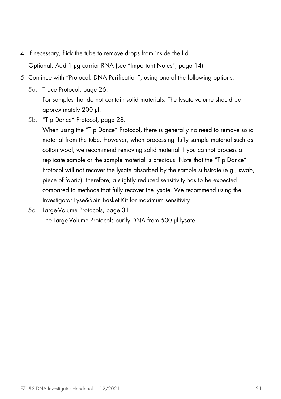- 4. If necessary, flick the tube to remove drops from inside the lid. Optional: Add 1 µg carrier RNA (see "Important Notes", page [14\)](#page-13-0)
- 5. Continue with "Protocol: DNA Purification", using one of the following options:
	- 5a. Trace Protocol, page [26.](#page-25-0) For samples that do not contain solid materials. The lysate volume should be approximately 200 µl.
	- 5b. "Tip Dance" Protocol, page [28.](#page-27-0)

When using the "Tip Dance" Protocol, there is generally no need to remove solid material from the tube. However, when processing fluffy sample material such as cotton wool, we recommend removing solid material if you cannot process a replicate sample or the sample material is precious. Note that the "Tip Dance" Protocol will not recover the lysate absorbed by the sample substrate (e.g., swab, piece of fabric), therefore, a slightly reduced sensitivity has to be expected compared to methods that fully recover the lysate. We recommend using the Investigator Lyse&Spin Basket Kit for maximum sensitivity.

5c. Large-Volume Protocols, page [31.](#page-30-0) The Large-Volume Protocols purify DNA from 500 µl lysate.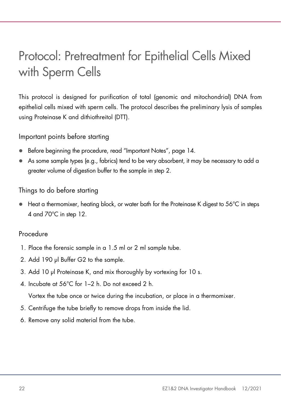### <span id="page-21-0"></span>Protocol: Pretreatment for Epithelial Cells Mixed with Sperm Cells

This protocol is designed for purification of total (genomic and mitochondrial) DNA from epithelial cells mixed with sperm cells. The protocol describes the preliminary lysis of samples using Proteinase K and dithiothreitol (DTT).

Important points before starting

- Before beginning the procedure, read "Important Notes", page [14.](#page-13-0)
- As some sample types (e.g., fabrics) tend to be very absorbent, it may be necessary to add a greater volume of digestion buffer to the sample in step [2.](#page-21-1)

#### Things to do before starting

 $\bullet$  Heat a thermomixer, heating block, or water bath for the Proteinase K digest to 56°C in steps 4 and 70°C in step [12.](#page-22-0)

#### Procedure

- 1. Place the forensic sample in a 1.5 ml or 2 ml sample tube.
- <span id="page-21-1"></span>2. Add 190 μl Buffer G2 to the sample.
- 3. Add 10 μl Proteinase K, and mix thoroughly by vortexing for 10 s.
- 4. Incubate at 56°C for 1–2 h. Do not exceed 2 h.

Vortex the tube once or twice during the incubation, or place in a thermomixer.

- 5. Centrifuge the tube briefly to remove drops from inside the lid.
- 6. Remove any solid material from the tube.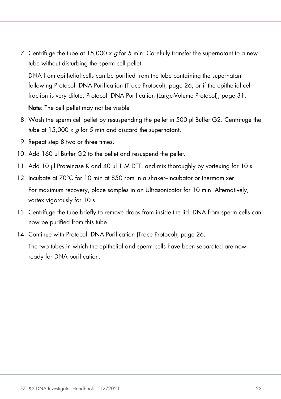7. Centrifuge the tube at 15,000 x  $q$  for 5 min. Carefully transfer the supernatant to a new tube without disturbing the sperm cell pellet.

DNA from epithelial cells can be purified from the tube containing the supernatant following Protocol: DNA Purification (Trace Protocol), page [26,](#page-25-0) or if the epithelial cell fraction is very dilute, Protocol: DNA Purification (Large-Volume Protocol), page [31.](#page-30-0)

Note: The cell pellet may not be visible

- <span id="page-22-1"></span>8. Wash the sperm cell pellet by resuspending the pellet in 500 μl Buffer G2. Centrifuge the tube at 15,000 x  $g$  for 5 min and discard the supernatant.
- 9. Repeat step [8](#page-22-1) two or three times.
- 10. Add 160 μl Buffer G2 to the pellet and resuspend the pellet.
- 11. Add 10 μl Proteinase K and 40 μl 1 M DTT, and mix thoroughly by vortexing for 10 s.
- <span id="page-22-0"></span>12. Incubate at 70°C for 10 min at 850 rpm in a shaker–incubator or thermomixer.

For maximum recovery, place samples in an Ultrasonicator for 10 min. Alternatively, vortex vigorously for 10 s.

- 13. Centrifuge the tube briefly to remove drops from inside the lid. DNA from sperm cells can now be purified from this tube.
- 14. Continue with Protocol: DNA Purification (Trace Protocol), page [26.](#page-25-0)

The two tubes in which the epithelial and sperm cells have been separated are now ready for DNA purification.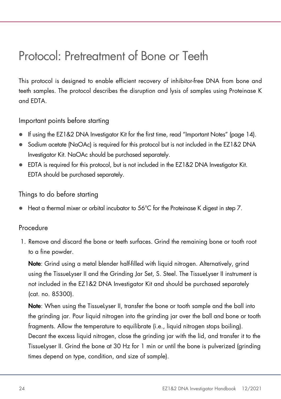### <span id="page-23-0"></span>Protocol: Pretreatment of Bone or Teeth

This protocol is designed to enable efficient recovery of inhibitor-free DNA from bone and teeth samples. The protocol describes the disruption and lysis of samples using Proteinase K and EDTA.

Important points before starting

- If using the EZ1&2 DNA Investigator Kit for the first time, read ["Important Notes"](#page-13-0) (page [14\)](#page-13-0).
- Sodium acetate (NaOAc) is required for this protocol but is not included in the EZ1&2 DNA Investigator Kit. NaOAc should be purchased separately.
- EDTA is required for this protocol, but is not included in the EZ1&2 DNA Investigator Kit. EDTA should be purchased separately.

Things to do before starting

Heat a thermal mixer or orbital incubator to 56°C for the Proteinase K digest in step [7.](#page-24-0)

#### Procedure

1. Remove and discard the bone or teeth surfaces. Grind the remaining bone or tooth root to a fine powder.

Note: Grind using a metal blender half-filled with liquid nitrogen. Alternatively, grind using the TissueLyser II and the Grinding Jar Set, S. Steel. The TissueLyser II instrument is not included in the EZ1&2 DNA Investigator Kit and should be purchased separately (cat. no. 85300).

Note: When using the TissueLyser II, transfer the bone or tooth sample and the ball into the grinding jar. Pour liquid nitrogen into the grinding jar over the ball and bone or tooth fragments. Allow the temperature to equilibrate (i.e., liquid nitrogen stops boiling). Decant the excess liquid nitrogen, close the grinding jar with the lid, and transfer it to the TissueLyser II. Grind the bone at 30 Hz for 1 min or until the bone is pulverized (grinding times depend on type, condition, and size of sample).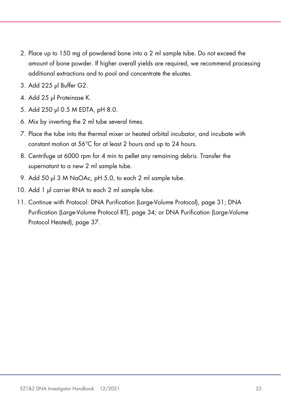- 2. Place up to 150 mg of powdered bone into a 2 ml sample tube. Do not exceed the amount of bone powder. If higher overall yields are required, we recommend processing additional extractions and to pool and concentrate the eluates.
- 3. Add 225 μl Buffer G2.
- 4. Add 25 μl Proteinase K.
- 5. Add 250 μl 0.5 M EDTA, pH 8.0.
- 6. Mix by inverting the 2 ml tube several times.
- <span id="page-24-0"></span>7. Place the tube into the thermal mixer or heated orbital incubator, and incubate with constant motion at 56°C for at least 2 hours and up to 24 hours.
- 8. Centrifuge at 6000 rpm for 4 min to pellet any remaining debris. Transfer the supernatant to a new 2 ml sample tube.
- 9. Add 50 μl 3 M NaOAc, pH 5.0, to each 2 ml sample tube.
- 10. Add 1 μl carrier RNA to each 2 ml sample tube.
- 11. Continue with Protocol: DNA Purification (Large-Volume Protocol), page [31;](#page-30-0) DNA Purification (Large-Volume Protocol RT), page [34;](#page-33-0) or DNA Purification (Large-Volume Protocol Heated), page [37.](#page-36-0)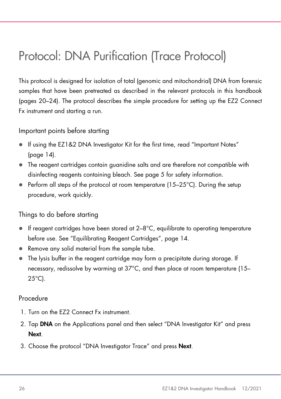### <span id="page-25-0"></span>Protocol: DNA Purification (Trace Protocol)

This protocol is designed for isolation of total (genomic and mitochondrial) DNA from forensic samples that have been pretreated as described in the relevant protocols in this handbook (pages [20](#page-19-0)[–24\).](#page-23-0) The protocol describes the simple procedure for setting up the EZ2 Connect Fx instrument and starting a run.

Important points before starting

- If using the EZ1&2 DNA Investigator Kit for the first time, read ["Important Notes"](#page-13-0) (page [14\)](#page-13-0).
- The reagent cartridges contain guanidine salts and are therefore not compatible with disinfecting reagents containing bleach. See page [5](#page-4-2) for safety information.
- Perform all steps of the protocol at room temperature  $(15-25^{\circ}C)$ . During the setup procedure, work quickly.

#### Things to do before starting

- $\bullet$  If reagent cartridges have been stored at  $2-8^{\circ}C$ , equilibrate to operating temperature before use. See "Equilibrating Reagent Cartridges", page [14.](#page-13-2)
- Remove any solid material from the sample tube.
- The lysis buffer in the reagent cartridge may form a precipitate during storage. If necessary, redissolve by warming at 37°C, and then place at room temperature (15–  $25^{\circ}$ C).

#### Procedure

- 1. Turn on the EZ2 Connect Fx instrument.
- 2. Tap DNA on the Applications panel and then select "DNA Investigator Kit" and press Next.
- 3. Choose the protocol "DNA Investigator Trace" and press Next.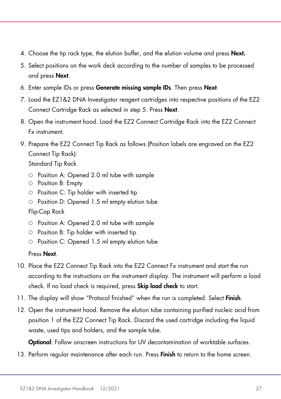- 4. Choose the tip rack type, the elution buffer, and the elution volume and press Next.
- 5. Select positions on the work deck according to the number of samples to be processed and press Next.
- 6. Enter sample IDs or press Generate missing sample IDs. Then press Next.
- 7. Load the EZ1&2 DNA Investigator reagent cartridges into respective positions of the EZ2 Connect Cartridge Rack as selected in step 5. Press Next.
- 8. Open the instrument hood. Load the EZ2 Connect Cartridge Rack into the EZ2 Connect Fx instrument.
- 9. Prepare the EZ2 Connect Tip Rack as follows (Position labels are engraved on the EZ2 Connect Tip Rack): Standard Tip Rack
	- Position A: Opened 2.0 ml tube with sample
	- Position B: Empty
	- $\circ$  Position C: Tip holder with inserted tip
	- $\circ$  Position D: Opened 1.5 ml empty elution tube
	- Flip-Cap Rack
	- Position A: Opened 2.0 ml tube with sample
	- $\circ$  Position B: Tip holder with inserted tip
	- Position C: Opened 1.5 ml empty elution tube

#### Press Next.

- 10. Place the EZ2 Connect Tip Rack into the EZ2 Connect Fx instrument and start the run according to the instructions on the instrument display. The instrument will perform a load check. If no load check is required, press **Skip load check** to start.
- 11. The display will show "Protocol finished" when the run is completed. Select **Finish**.
- 12. Open the instrument hood. Remove the elution tube containing purified nucleic acid from position 1 of the EZ2 Connect Tip Rack. Discard the used cartridge including the liquid waste, used tips and holders, and the sample tube.

**Optional:** Follow onscreen instructions for UV decontamination of worktable surfaces.

13. Perform regular maintenance after each run. Press **Finish** to return to the home screen.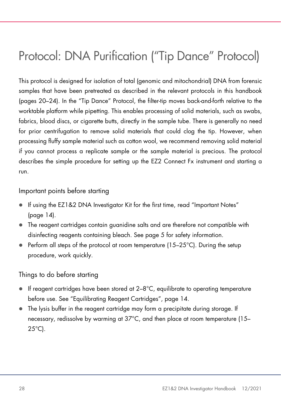### <span id="page-27-0"></span>Protocol: DNA Purification ("Tip Dance" Protocol)

This protocol is designed for isolation of total (genomic and mitochondrial) DNA from forensic samples that have been pretreated as described in the relevant protocols in this handbook (pages [20](#page-19-0)[–24\).](#page-23-0) In the "Tip Dance" Protocol, the filter-tip moves back-and-forth relative to the worktable platform while pipetting. This enables processing of solid materials, such as swabs, fabrics, blood discs, or cigarette butts, directly in the sample tube. There is generally no need for prior centrifugation to remove solid materials that could clog the tip. However, when processing fluffy sample material such as cotton wool, we recommend removing solid material if you cannot process a replicate sample or the sample material is precious. The protocol describes the simple procedure for setting up the EZ2 Connect Fx instrument and starting a run.

Important points before starting

- If using the EZ1&2 DNA Investigator Kit for the first time, read ["Important Notes"](#page-13-0) (page [14\)](#page-13-0).
- The reagent cartridges contain guanidine salts and are therefore not compatible with disinfecting reagents containing bleach. See page [5](#page-4-2) for safety information.
- $\bullet$  Perform all steps of the protocol at room temperature (15–25 $\degree$ C). During the setup procedure, work quickly.

Things to do before starting

- If reagent cartridges have been stored at 2–8°C, equilibrate to operating temperature before use. See "Equilibrating Reagent Cartridges", page [14.](#page-13-2)
- The lysis buffer in the reagent cartridge may form a precipitate during storage. If necessary, redissolve by warming at 37°C, and then place at room temperature (15–  $25^{\circ}$ C).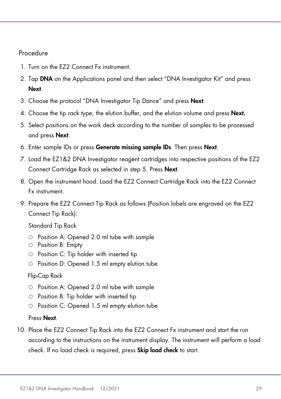#### Procedure

- 1. Turn on the EZ2 Connect Fx instrument.
- 2. Tap DNA on the Applications panel and then select "DNA Investigator Kit" and press Next.
- 3. Choose the protocol "DNA Investigator Tip Dance" and press Next.
- 4. Choose the tip rack type, the elution buffer, and the elution volume and press Next.
- 5. Select positions on the work deck according to the number of samples to be processed and press Next.
- 6. Enter sample IDs or press Generate missing sample IDs. Then press Next.
- 7. Load the EZ1&2 DNA Investigator reagent cartridges into respective positions of the EZ2 Connect Cartridge Rack as selected in step 5. Press Next.
- 8. Open the instrument hood. Load the EZ2 Connect Cartridge Rack into the EZ2 Connect Fx instrument.
- 9. Prepare the EZ2 Connect Tip Rack as follows (Position labels are engraved on the EZ2 Connect Tip Rack):

Standard Tip Rack

- $\circ$  Position A: Opened 2.0 ml tube with sample
- $\circ$  Position B: Empty
- $\circ$  Position C: Tip holder with inserted tip
- $\circ$  Position D: Opened 1.5 ml empty elution tube

#### Flip-Cap Rack

- $\circ$  Position A: Opened 2.0 ml tube with sample
- $\circ$  Position B: Tip holder with inserted tip
- $\circ$  Position C: Opened 1.5 ml empty elution tube

#### Press Next.

10. Place the EZ2 Connect Tip Rack into the EZ2 Connect Fx instrument and start the run according to the instructions on the instrument display. The instrument will perform a load check. If no load check is required, press **Skip load check** to start.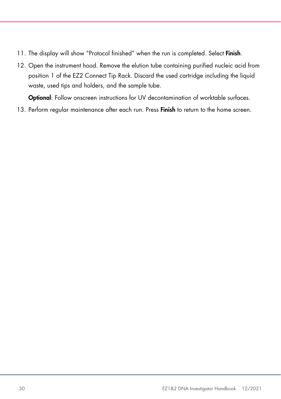- 11. The display will show "Protocol finished" when the run is completed. Select Finish.
- 12. Open the instrument hood. Remove the elution tube containing purified nucleic acid from position 1 of the EZ2 Connect Tip Rack. Discard the used cartridge including the liquid waste, used tips and holders, and the sample tube.

Optional: Follow onscreen instructions for UV decontamination of worktable surfaces.

13. Perform regular maintenance after each run. Press Finish to return to the home screen.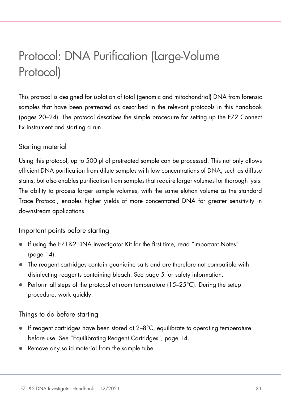### <span id="page-30-0"></span>Protocol: DNA Purification (Large-Volume Protocol)

This protocol is designed for isolation of total (genomic and mitochondrial) DNA from forensic samples that have been pretreated as described in the relevant protocols in this handbook (pages [20](#page-19-0)[–24\).](#page-23-0) The protocol describes the simple procedure for setting up the EZ2 Connect Fx instrument and starting a run.

#### Starting material

Using this protocol, up to 500 µl of pretreated sample can be processed. This not only allows efficient DNA purification from dilute samples with low concentrations of DNA, such as diffuse stains, but also enables purification from samples that require larger volumes for thorough lysis. The ability to process larger sample volumes, with the same elution volume as the standard Trace Protocol, enables higher yields of more concentrated DNA for greater sensitivity in downstream applications.

#### Important points before starting

- If using the EZ1&2 DNA Investigator Kit for the first time, read ["Important Notes"](#page-13-0) (page [14\)](#page-13-0).
- The reagent cartridges contain guanidine salts and are therefore not compatible with disinfecting reagents containing bleach. See page [5](#page-4-2) for safety information.
- $\bullet$  Perform all steps of the protocol at room temperature (15–25 $\degree$ C). During the setup procedure, work quickly.

#### Things to do before starting

- If reagent cartridges have been stored at 2–8°C, equilibrate to operating temperature before use. See "Equilibrating Reagent Cartridges", page [14.](#page-13-2)
- Remove any solid material from the sample tube.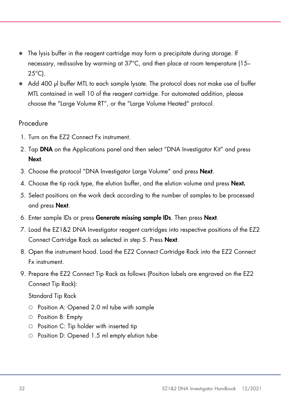- The lysis buffer in the reagent cartridge may form a precipitate during storage. If necessary, redissolve by warming at 37°C, and then place at room temperature (15–  $25^{\circ}$ C).
- Add 400 µl buffer MTL to each sample lysate. The protocol does not make use of buffer MTL contained in well 10 of the reagent cartridge. For automated addition, please choose the "Large Volume RT", or the "Large Volume Heated" protocol.

#### **Procedure**

- 1. Turn on the EZ2 Connect Fx instrument.
- 2. Tap DNA on the Applications panel and then select "DNA Investigator Kit" and press Next.
- 3. Choose the protocol "DNA Investigator Large Volume" and press Next.
- 4. Choose the tip rack type, the elution buffer, and the elution volume and press Next.
- 5. Select positions on the work deck according to the number of samples to be processed and press Next.
- 6. Enter sample IDs or press Generate missing sample IDs. Then press Next.
- 7. Load the EZ1&2 DNA Investigator reagent cartridges into respective positions of the EZ2 Connect Cartridge Rack as selected in step 5. Press Next.
- 8. Open the instrument hood. Load the EZ2 Connect Cartridge Rack into the EZ2 Connect Fx instrument.
- 9. Prepare the EZ2 Connect Tip Rack as follows (Position labels are engraved on the EZ2 Connect Tip Rack):

Standard Tip Rack

- Position A: Opened 2.0 ml tube with sample
- $\circ$  Position B: Empty
- $\circ$  Position C: Tip holder with inserted tip
- Position D: Opened 1.5 ml empty elution tube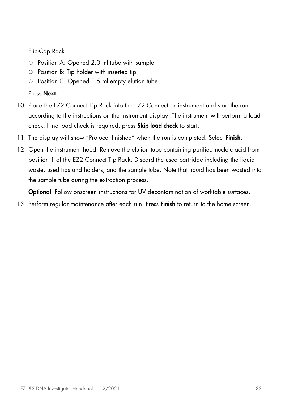#### Flip-Cap Rack

- Position A: Opened 2.0 ml tube with sample
- $\circ$  Position B: Tip holder with inserted tip
- Position C: Opened 1.5 ml empty elution tube

#### Press Next.

- 10. Place the EZ2 Connect Tip Rack into the EZ2 Connect Fx instrument and start the run according to the instructions on the instrument display. The instrument will perform a load check. If no load check is required, press **Skip load check** to start.
- 11. The display will show "Protocol finished" when the run is completed. Select Finish.
- 12. Open the instrument hood. Remove the elution tube containing purified nucleic acid from position 1 of the EZ2 Connect Tip Rack. Discard the used cartridge including the liquid waste, used tips and holders, and the sample tube. Note that liquid has been wasted into the sample tube during the extraction process.

**Optional:** Follow onscreen instructions for UV decontamination of worktable surfaces.

13. Perform regular maintenance after each run. Press Finish to return to the home screen.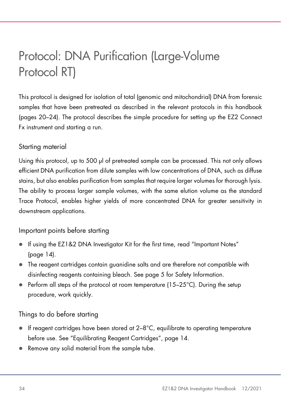# <span id="page-33-0"></span>Protocol: DNA Purification (Large-Volume Protocol RT)

This protocol is designed for isolation of total (genomic and mitochondrial) DNA from forensic samples that have been pretreated as described in the relevant protocols in this handbook (pages [20](#page-19-0)[–24\).](#page-23-0) The protocol describes the simple procedure for setting up the EZ2 Connect Fx instrument and starting a run.

#### Starting material

Using this protocol, up to 500 µl of pretreated sample can be processed. This not only allows efficient DNA purification from dilute samples with low concentrations of DNA, such as diffuse stains, but also enables purification from samples that require larger volumes for thorough lysis. The ability to process larger sample volumes, with the same elution volume as the standard Trace Protocol, enables higher yields of more concentrated DNA for greater sensitivity in downstream applications.

#### Important points before starting

- If using the EZ1&2 DNA Investigator Kit for the first time, read ["Important Notes"](#page-13-0) (page [14\)](#page-13-0).
- The reagent cartridges contain guanidine salts and are therefore not compatible with disinfecting reagents containing bleach. See page [5](#page-4-2) for Safety Information.
- Perform all steps of the protocol at room temperature (15-25°C). During the setup procedure, work quickly.

#### Things to do before starting

- If reagent cartridges have been stored at 2–8°C, equilibrate to operating temperature before use. See "Equilibrating Reagent Cartridges", page [14.](#page-13-2)
- Remove any solid material from the sample tube.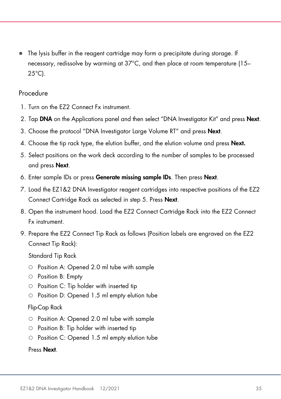The lysis buffer in the reagent cartridge may form a precipitate during storage. If necessary, redissolve by warming at 37°C, and then place at room temperature (15– 25°C).

#### Procedure

- 1. Turn on the EZ2 Connect Fx instrument.
- 2. Tap DNA on the Applications panel and then select "DNA Investigator Kit" and press Next.
- 3. Choose the protocol "DNA Investigator Large Volume RT" and press Next.
- 4. Choose the tip rack type, the elution buffer, and the elution volume and press **Next.**
- 5. Select positions on the work deck according to the number of samples to be processed and press Next.
- 6. Enter sample IDs or press Generate missing sample IDs. Then press Next.
- 7. Load the EZ1&2 DNA Investigator reagent cartridges into respective positions of the EZ2 Connect Cartridge Rack as selected in step 5. Press Next.
- 8. Open the instrument hood. Load the EZ2 Connect Cartridge Rack into the EZ2 Connect Fx instrument.
- 9. Prepare the EZ2 Connect Tip Rack as follows (Position labels are engraved on the EZ2 Connect Tip Rack):

Standard Tip Rack

- O Position A: Opened 2.0 ml tube with sample
- $\circ$  Position B: Empty
- $\circ$  Position C: Tip holder with inserted tip
- Position D: Opened 1.5 ml empty elution tube

#### Flip-Cap Rack

- Position A: Opened 2.0 ml tube with sample
- $\circ$  Position B: Tip holder with inserted tip
- Position C: Opened 1.5 ml empty elution tube

Press Next.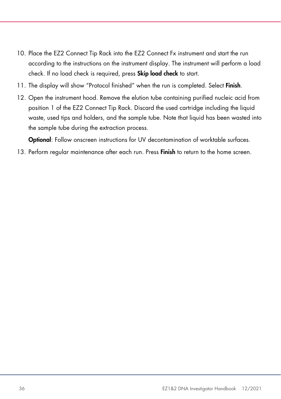- 10. Place the EZ2 Connect Tip Rack into the EZ2 Connect Fx instrument and start the run according to the instructions on the instrument display. The instrument will perform a load check. If no load check is required, press **Skip load check** to start.
- 11. The display will show "Protocol finished" when the run is completed. Select Finish.
- 12. Open the instrument hood. Remove the elution tube containing purified nucleic acid from position 1 of the EZ2 Connect Tip Rack. Discard the used cartridge including the liquid waste, used tips and holders, and the sample tube. Note that liquid has been wasted into the sample tube during the extraction process.

Optional: Follow onscreen instructions for UV decontamination of worktable surfaces.

13. Perform regular maintenance after each run. Press Finish to return to the home screen.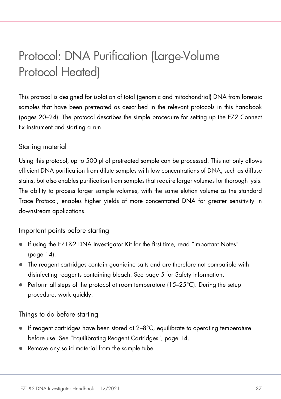### <span id="page-36-0"></span>Protocol: DNA Purification (Large-Volume Protocol Heated)

This protocol is designed for isolation of total (genomic and mitochondrial) DNA from forensic samples that have been pretreated as described in the relevant protocols in this handbook (pages [20](#page-19-0)[–24\).](#page-23-0) The protocol describes the simple procedure for setting up the EZ2 Connect Fx instrument and starting a run.

#### Starting material

Using this protocol, up to 500 µl of pretreated sample can be processed. This not only allows efficient DNA purification from dilute samples with low concentrations of DNA, such as diffuse stains, but also enables purification from samples that require larger volumes for thorough lysis. The ability to process larger sample volumes, with the same elution volume as the standard Trace Protocol, enables higher yields of more concentrated DNA for greater sensitivity in downstream applications.

#### Important points before starting

- If using the EZ1&2 DNA Investigator Kit for the first time, read ["Important Notes"](#page-13-0) (page [14\)](#page-13-0).
- The reagent cartridges contain guanidine salts and are therefore not compatible with disinfecting reagents containing bleach. See page [5](#page-4-2) for Safety Information.
- $\bullet$  Perform all steps of the protocol at room temperature (15–25 $\degree$ C). During the setup procedure, work quickly.

#### Things to do before starting

- If reagent cartridges have been stored at 2–8°C, equilibrate to operating temperature before use. See "Equilibrating Reagent Cartridges", page [14.](#page-13-2)
- Remove any solid material from the sample tube.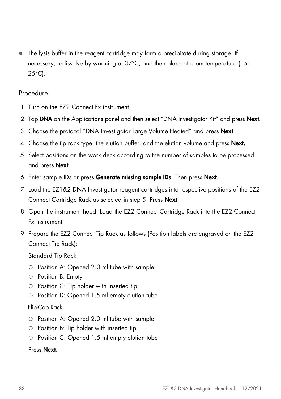The lysis buffer in the reagent cartridge may form a precipitate during storage. If necessary, redissolve by warming at 37°C, and then place at room temperature (15– 25°C).

#### Procedure

- 1. Turn on the EZ2 Connect Fx instrument.
- 2. Tap DNA on the Applications panel and then select "DNA Investigator Kit" and press Next.
- 3. Choose the protocol "DNA Investigator Large Volume Heated" and press Next.
- 4. Choose the tip rack type, the elution buffer, and the elution volume and press **Next.**
- 5. Select positions on the work deck according to the number of samples to be processed and press Next.
- 6. Enter sample IDs or press Generate missing sample IDs. Then press Next.
- 7. Load the EZ1&2 DNA Investigator reagent cartridges into respective positions of the EZ2 Connect Cartridge Rack as selected in step 5. Press Next.
- 8. Open the instrument hood. Load the EZ2 Connect Cartridge Rack into the EZ2 Connect Fx instrument.
- 9. Prepare the EZ2 Connect Tip Rack as follows (Position labels are engraved on the EZ2 Connect Tip Rack):

Standard Tip Rack

- O Position A: Opened 2.0 ml tube with sample
- $\circ$  Position B: Empty
- $\circ$  Position C: Tip holder with inserted tip
- Position D: Opened 1.5 ml empty elution tube

#### Flip-Cap Rack

- Position A: Opened 2.0 ml tube with sample
- $\circ$  Position B: Tip holder with inserted tip
- Position C: Opened 1.5 ml empty elution tube

#### Press Next.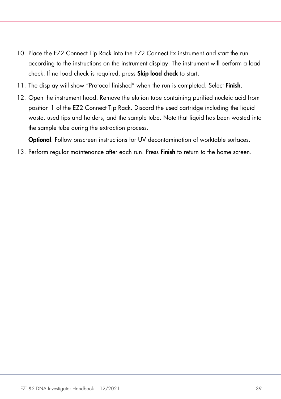- 10. Place the EZ2 Connect Tip Rack into the EZ2 Connect Fx instrument and start the run according to the instructions on the instrument display. The instrument will perform a load check. If no load check is required, press **Skip load check** to start.
- 11. The display will show "Protocol finished" when the run is completed. Select Finish.
- 12. Open the instrument hood. Remove the elution tube containing purified nucleic acid from position 1 of the EZ2 Connect Tip Rack. Discard the used cartridge including the liquid waste, used tips and holders, and the sample tube. Note that liquid has been wasted into the sample tube during the extraction process.

Optional: Follow onscreen instructions for UV decontamination of worktable surfaces.

13. Perform regular maintenance after each run. Press Finish to return to the home screen.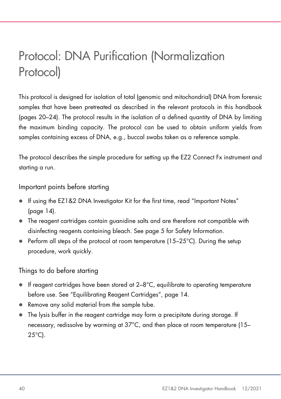# <span id="page-39-0"></span>Protocol: DNA Purification (Normalization Protocol)

This protocol is designed for isolation of total (genomic and mitochondrial) DNA from forensic samples that have been pretreated as described in the relevant protocols in this handbook (pages [20–](#page-19-0)[24\).](#page-23-0) The protocol results in the isolation of a defined quantity of DNA by limiting the maximum binding capacity. The protocol can be used to obtain uniform yields from samples containing excess of DNA, e.g., buccal swabs taken as a reference sample.

The protocol describes the simple procedure for setting up the EZ2 Connect Fx instrument and starting a run.

Important points before starting

- If using the EZ1&2 DNA Investigator Kit for the first time, read ["Important Notes"](#page-13-0) (page [14\)](#page-13-0).
- The reagent cartridges contain guanidine salts and are therefore not compatible with disinfecting reagents containing bleach. See page [5](#page-4-2) for Safety Information.
- $\bullet$  Perform all steps of the protocol at room temperature (15–25 $\degree$ C). During the setup procedure, work quickly.

Things to do before starting

- $\bullet$  If reagent cartridges have been stored at 2-8°C, equilibrate to operating temperature before use. See "Equilibrating Reagent Cartridges", page [14.](#page-13-2)
- Remove any solid material from the sample tube.
- The lysis buffer in the reagent cartridge may form a precipitate during storage. If necessary, redissolve by warming at 37°C, and then place at room temperature (15–  $25^{\circ}$ C).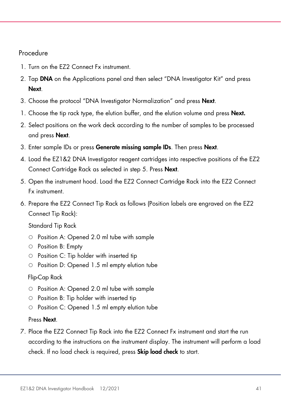#### Procedure

- 1. Turn on the EZ2 Connect Fx instrument.
- 2. Tap DNA on the Applications panel and then select "DNA Investigator Kit" and press Next.
- 3. Choose the protocol "DNA Investigator Normalization" and press Next.
- 1. Choose the tip rack type, the elution buffer, and the elution volume and press **Next.**
- 2. Select positions on the work deck according to the number of samples to be processed and press Next.
- 3. Enter sample IDs or press Generate missing sample IDs. Then press Next.
- 4. Load the EZ1&2 DNA Investigator reagent cartridges into respective positions of the EZ2 Connect Cartridge Rack as selected in step 5. Press Next.
- 5. Open the instrument hood. Load the EZ2 Connect Cartridge Rack into the EZ2 Connect Fx instrument.
- 6. Prepare the EZ2 Connect Tip Rack as follows (Position labels are engraved on the EZ2 Connect Tip Rack):

Standard Tip Rack

- $\circ$  Position A: Opened 2.0 ml tube with sample
- Position B: Empty
- $\circ$  Position C: Tip holder with inserted tip
- Position D: Opened 1.5 ml empty elution tube

#### Flip-Cap Rack

- Position A: Opened 2.0 ml tube with sample
- $\circ$  Position B: Tip holder with inserted tip
- Position C: Opened 1.5 ml empty elution tube

#### Press Next.

7. Place the EZ2 Connect Tip Rack into the EZ2 Connect Fx instrument and start the run according to the instructions on the instrument display. The instrument will perform a load check. If no load check is required, press **Skip load check** to start.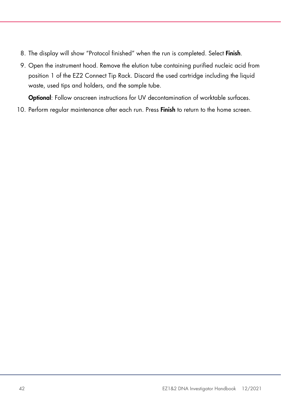- 8. The display will show "Protocol finished" when the run is completed. Select Finish.
- 9. Open the instrument hood. Remove the elution tube containing purified nucleic acid from position 1 of the EZ2 Connect Tip Rack. Discard the used cartridge including the liquid waste, used tips and holders, and the sample tube.

Optional: Follow onscreen instructions for UV decontamination of worktable surfaces.

10. Perform regular maintenance after each run. Press Finish to return to the home screen.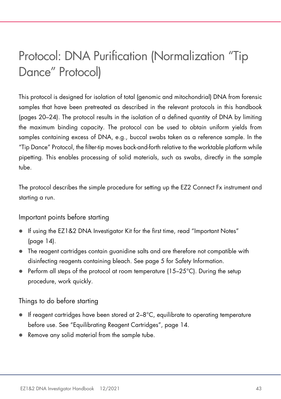### <span id="page-42-0"></span>Protocol: DNA Purification (Normalization "Tip Dance" Protocol)

This protocol is designed for isolation of total (genomic and mitochondrial) DNA from forensic samples that have been pretreated as described in the relevant protocols in this handbook (pages [20–](#page-19-0)[24\).](#page-23-0) The protocol results in the isolation of a defined quantity of DNA by limiting the maximum binding capacity. The protocol can be used to obtain uniform yields from samples containing excess of DNA, e.g., buccal swabs taken as a reference sample. In the "Tip Dance" Protocol, the filter-tip moves back-and-forth relative to the worktable platform while pipetting. This enables processing of solid materials, such as swabs, directly in the sample tube.

The protocol describes the simple procedure for setting up the EZ2 Connect Fx instrument and starting a run.

#### Important points before starting

- If using the EZ1&2 DNA Investigator Kit for the first time, read ["Important Notes"](#page-13-0) (page [14\)](#page-13-0).
- The reagent cartridges contain guanidine salts and are therefore not compatible with disinfecting reagents containing bleach. See page [5](#page-4-2) for Safety Information.
- $\bullet$  Perform all steps of the protocol at room temperature (15–25 $\degree$ C). During the setup procedure, work quickly.

#### Things to do before starting

- $\bullet$  If reagent cartridges have been stored at  $2-8^{\circ}C$ , equilibrate to operating temperature before use. See "Equilibrating Reagent Cartridges", page [14.](#page-13-2)
- Remove any solid material from the sample tube.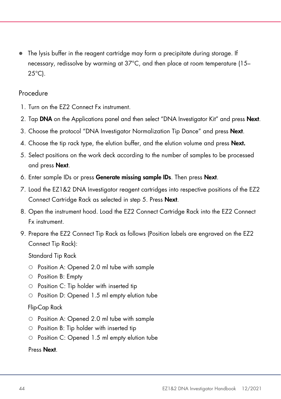The lysis buffer in the reagent cartridge may form a precipitate during storage. If necessary, redissolve by warming at 37°C, and then place at room temperature (15– 25°C).

#### Procedure

- 1. Turn on the EZ2 Connect Fx instrument.
- 2. Tap DNA on the Applications panel and then select "DNA Investigator Kit" and press Next.
- 3. Choose the protocol "DNA Investigator Normalization Tip Dance" and press Next.
- 4. Choose the tip rack type, the elution buffer, and the elution volume and press **Next.**
- 5. Select positions on the work deck according to the number of samples to be processed and press Next.
- 6. Enter sample IDs or press Generate missing sample IDs. Then press Next.
- 7. Load the EZ1&2 DNA Investigator reagent cartridges into respective positions of the EZ2 Connect Cartridge Rack as selected in step 5. Press Next.
- 8. Open the instrument hood. Load the EZ2 Connect Cartridge Rack into the EZ2 Connect Fx instrument.
- 9. Prepare the EZ2 Connect Tip Rack as follows (Position labels are engraved on the EZ2 Connect Tip Rack):

Standard Tip Rack

- O Position A: Opened 2.0 ml tube with sample
- $\circ$  Position B: Empty
- $\circ$  Position C: Tip holder with inserted tip
- Position D: Opened 1.5 ml empty elution tube

#### Flip-Cap Rack

- Position A: Opened 2.0 ml tube with sample
- $\circ$  Position B: Tip holder with inserted tip
- Position C: Opened 1.5 ml empty elution tube

#### Press Next.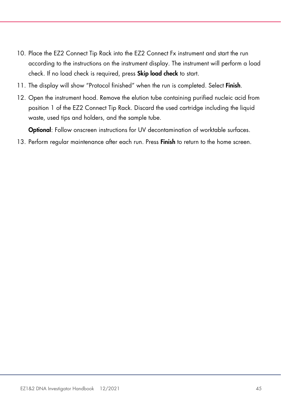- 10. Place the EZ2 Connect Tip Rack into the EZ2 Connect Fx instrument and start the run according to the instructions on the instrument display. The instrument will perform a load check. If no load check is required, press Skip load check to start.
- 11. The display will show "Protocol finished" when the run is completed. Select Finish.
- 12. Open the instrument hood. Remove the elution tube containing purified nucleic acid from position 1 of the EZ2 Connect Tip Rack. Discard the used cartridge including the liquid waste, used tips and holders, and the sample tube.

Optional: Follow onscreen instructions for UV decontamination of worktable surfaces.

13. Perform regular maintenance after each run. Press Finish to return to the home screen.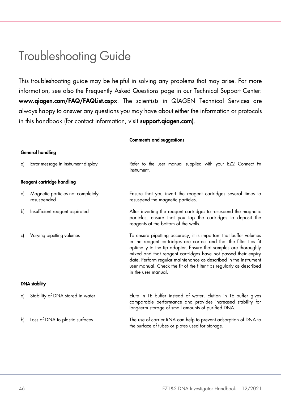### <span id="page-45-0"></span>Troubleshooting Guide

This troubleshooting guide may be helpful in solving any problems that may arise. For more information, see also the Frequently Asked Questions page in our Technical Support Center: www.qiagen.com/FAQ/FAQList.aspx. The scientists in QIAGEN Technical Services are always happy to answer any questions you may have about either the information or protocols in this handbook (for contact information, visit **support.aiggen.com**).

|    |                                                  | General handling                                                                                                                                                                                                                                                                                                                                                                                                                                 |  |  |  |
|----|--------------------------------------------------|--------------------------------------------------------------------------------------------------------------------------------------------------------------------------------------------------------------------------------------------------------------------------------------------------------------------------------------------------------------------------------------------------------------------------------------------------|--|--|--|
| a) | Error message in instrument display              | Refer to the user manual supplied with your EZ2 Connect Fx<br>instrument.                                                                                                                                                                                                                                                                                                                                                                        |  |  |  |
|    | Reagent cartridge handling                       |                                                                                                                                                                                                                                                                                                                                                                                                                                                  |  |  |  |
| a) | Magnetic particles not completely<br>resuspended | Ensure that you invert the reagent cartridges several times to<br>resuspend the magnetic particles.                                                                                                                                                                                                                                                                                                                                              |  |  |  |
| b) | Insufficient reagent aspirated                   | After inverting the reagent cartridges to resuspend the magnetic<br>particles, ensure that you tap the cartridges to deposit the<br>reagents at the bottom of the wells.                                                                                                                                                                                                                                                                         |  |  |  |
| c) | Varying pipetting volumes                        | To ensure pipetting accuracy, it is important that buffer volumes<br>in the reagent cartridges are correct and that the filter tips fit<br>optimally to the tip adapter. Ensure that samples are thoroughly<br>mixed and that reagent cartridges have not passed their expiry<br>date. Perform regular maintenance as described in the instrument<br>user manual. Check the fit of the filter tips regularly as described<br>in the user manual. |  |  |  |
|    | <b>DNA</b> stability                             |                                                                                                                                                                                                                                                                                                                                                                                                                                                  |  |  |  |
| a) | Stability of DNA stored in water                 | Elute in TE buffer instead of water. Elution in TE buffer gives<br>comparable performance and provides increased stability for<br>long-term storage of small amounts of purified DNA.                                                                                                                                                                                                                                                            |  |  |  |
| b) | Loss of DNA to plastic surfaces                  | The use of carrier RNA can help to prevent adsorption of DNA to<br>the surface of tubes or plates used for storage.                                                                                                                                                                                                                                                                                                                              |  |  |  |

#### Comments and suggestions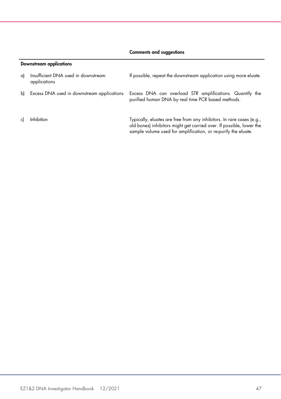#### Comments and suggestions

#### Downstream applications

| al | Insufficient DNA used in downstream<br>applications | If possible, repeat the downstream application using more eluate.                                                                                                                                               |
|----|-----------------------------------------------------|-----------------------------------------------------------------------------------------------------------------------------------------------------------------------------------------------------------------|
|    | b) Excess DNA used in downstream applications       | Excess DNA can overload STR amplifications. Quantify the<br>purified human DNA by real time PCR based methods.                                                                                                  |
|    | <b>Inhibition</b>                                   | Typically, eluates are free from any inhibitors. In rare cases (e.g.,<br>old bones) inhibitors might get carried over. If possible, lower the<br>sample volume used for amplification, or re-purify the eluate. |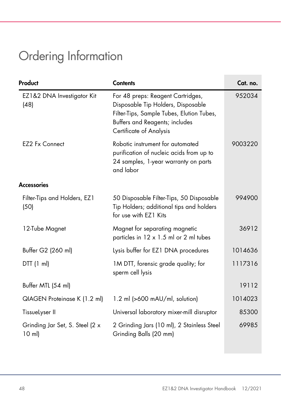# <span id="page-47-0"></span>Ordering Information

| Product                                     | <b>Contents</b>                                                                                                                                                                   | Cat. no. |
|---------------------------------------------|-----------------------------------------------------------------------------------------------------------------------------------------------------------------------------------|----------|
| EZ1&2 DNA Investigator Kit<br>(48)          | For 48 preps: Reagent Cartridges,<br>Disposable Tip Holders, Disposable<br>Filter-Tips, Sample Tubes, Elution Tubes,<br>Buffers and Reagents; includes<br>Certificate of Analysis | 952034   |
| EZ2 Fx Connect                              | Robotic instrument for automated<br>purification of nucleic acids from up to<br>24 samples, 1-year warranty on parts<br>and labor                                                 | 9003220  |
| <b>Accessories</b>                          |                                                                                                                                                                                   |          |
| Filter-Tips and Holders, EZ1<br>(50)        | 50 Disposable Filter-Tips, 50 Disposable<br>Tip Holders; additional tips and holders<br>for use with EZ1 Kits                                                                     | 994900   |
| 12-Tube Magnet                              | Magnet for separating magnetic<br>particles in 12 x 1.5 ml or 2 ml tubes                                                                                                          | 36912    |
| Buffer G2 (260 ml)                          | Lysis buffer for EZ1 DNA procedures                                                                                                                                               | 1014636  |
| DTT(1 ml)                                   | 1M DTT, forensic grade quality; for<br>sperm cell lysis                                                                                                                           | 1117316  |
| Buffer MTL (54 ml)                          |                                                                                                                                                                                   | 19112    |
| QIAGEN Proteinase K (1.2 ml)                | 1.2 ml (>600 mAU/ml, solution)                                                                                                                                                    | 1014023  |
| TissueLyser II                              | Universal laboratory mixer-mill disruptor                                                                                                                                         | 85300    |
| Grinding Jar Set, S. Steel (2 x<br>$10$ ml) | 2 Grinding Jars (10 ml), 2 Stainless Steel<br>Grinding Balls (20 mm)                                                                                                              | 69985    |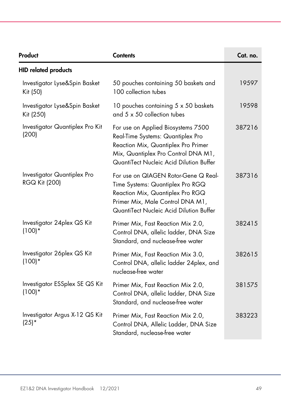| Product                                             | <b>Contents</b>                                                                                                                                                                                  | Cat. no. |
|-----------------------------------------------------|--------------------------------------------------------------------------------------------------------------------------------------------------------------------------------------------------|----------|
| <b>HID related products</b>                         |                                                                                                                                                                                                  |          |
| Investigator Lyse&Spin Basket<br>Kit (50)           | 50 pouches containing 50 baskets and<br>100 collection tubes                                                                                                                                     | 19597    |
| Investigator Lyse&Spin Basket<br>Kit (250)          | 10 pouches containing 5 x 50 baskets<br>and 5 x 50 collection tubes                                                                                                                              | 19598    |
| Investigator Quantiplex Pro Kit<br>(200)            | For use on Applied Biosystems 7500<br>Real-Time Systems: Quantiplex Pro<br>Reaction Mix, Quantiplex Pro Primer<br>Mix, Quantiplex Pro Control DNA M1,<br>QuantiTect Nucleic Acid Dilution Buffer | 387216   |
| Investigator Quantiplex Pro<br><b>RGQ Kit (200)</b> | For use on QIAGEN Rotor-Gene Q Real-<br>Time Systems: Quantiplex Pro RGQ<br>Reaction Mix, Quantiplex Pro RGQ<br>Primer Mix, Male Control DNA M1,<br>QuantiTect Nucleic Acid Dilution Buffer      | 387316   |
| Investigator 24 plex QS Kit<br>$(100)*$             | Primer Mix, Fast Reaction Mix 2.0,<br>Control DNA, allelic ladder, DNA Size<br>Standard, and nuclease-free water                                                                                 | 382415   |
| Investigator 26 plex QS Kit<br>$(100)*$             | Primer Mix, Fast Reaction Mix 3.0,<br>Control DNA, allelic ladder 24plex, and<br>nuclease-free water                                                                                             | 382615   |
| Investigator ESSplex SE QS Kit<br>$(100)*$          | Primer Mix, Fast Reaction Mix 2.0,<br>Control DNA, allelic ladder, DNA Size<br>Standard, and nuclease-free water                                                                                 | 381575   |
| Investigator Argus X-12 QS Kit<br>$(25)*$           | Primer Mix, Fast Reaction Mix 2.0,<br>Control DNA, Allelic Ladder, DNA Size<br>Standard, nuclease-free water                                                                                     | 383223   |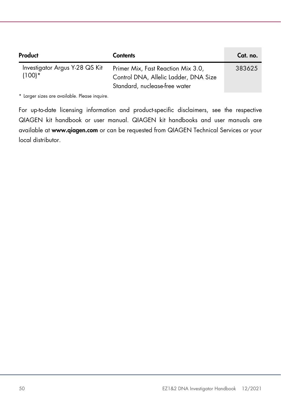| Product                                    | <b>Contents</b>                                                                                              | Cat. no. |
|--------------------------------------------|--------------------------------------------------------------------------------------------------------------|----------|
| Investigator Argus Y-28 QS Kit<br>$(100)*$ | Primer Mix, Fast Reaction Mix 3.0,<br>Control DNA, Allelic Ladder, DNA Size<br>Standard, nuclease-free water | 383625   |

\* Larger sizes are available. Please inquire.

For up-to-date licensing information and product-specific disclaimers, see the respective QIAGEN kit handbook or user manual. QIAGEN kit handbooks and user manuals are available at www.qiagen.com or can be requested from QIAGEN Technical Services or your local distributor.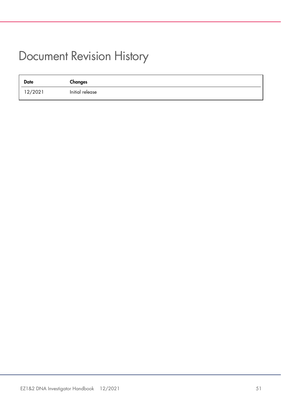### <span id="page-50-0"></span>Document Revision History

| <b>Date</b> | Changes         |
|-------------|-----------------|
| 12/2021     | Initial release |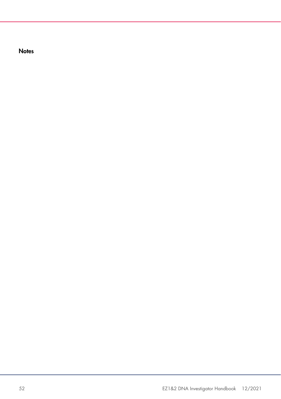**Notes**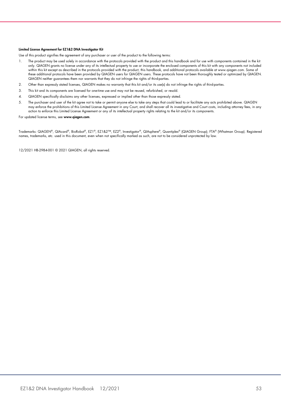#### Limited License Agreement for EZ1&2 DNA Investigator Kit

Use of this product signifies the agreement of any purchaser or user of the product to the following terms:

- 1. The product may be used solely in accordance with the protocols provided with the product and this handbook and for use with components contained in the kit only. QIAGEN grants no license under any of its intellectual property to use or incorporate the enclosed components of this kit with any components not included within this kit except as described in the protocols provided with the product, this handbook, and additional protocols available at www.qiagen.com. Some of these additional protocols have been provided by QIAGEN users for QIAGEN users. These protocols have not been thoroughly tested or optimized by QIAGEN. QIAGEN neither guarantees them nor warrants that they do not infringe the rights of third-parties.
- 2. Other than expressly stated licenses, QIAGEN makes no warranty that this kit and/or its use(s) do not infringe the rights of third-parties.
- 3. This kit and its components are licensed for one-time use and may not be reused, refurbished, or resold.
- 4. QIAGEN specifically disclaims any other licenses, expressed or implied other than those expressly stated.
- 5. The purchaser and user of the kit agree not to take or permit anyone else to take any steps that could lead to or facilitate any acts prohibited above. QIAGEN may enforce the prohibitions of this Limited License Agreement in any Court, and shall recover all its investigative and Court costs, including attorney fees, in any action to enforce this Limited License Agreement or any of its intellectual property rights relating to the kit and/or its components.

For updated license terms, see www.qiagen.com.

Trademarks: QIAGEN®, QIAcard®, BioRobot®, EZ1®, EZ1&2™, EZ2®, Investigator®, QIAsphere®, Quantiplex® (QIAGEN Group); FTA® (Whatman Group). Registered names, trademarks, etc. used in this document, even when not specifically marked as such, are not to be considered unprotected by law.

12/2021 HB-2984-001 © 2021 QIAGEN, all rights reserved.